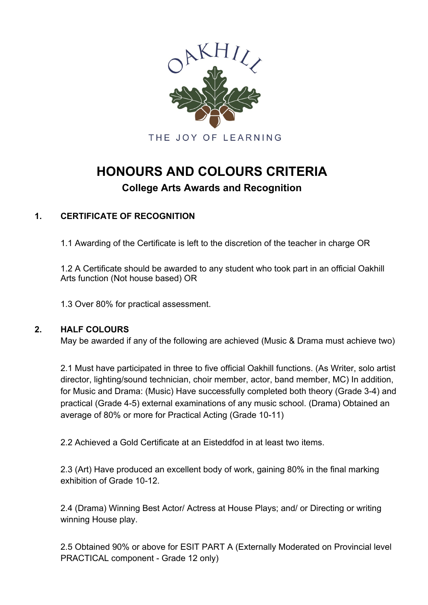

# **HONOURS AND COLOURS CRITERIA**

## **College Arts Awards and Recognition**

### **1. CERTIFICATE OF RECOGNITION**

1.1 Awarding of the Certificate is left to the discretion of the teacher in charge OR

1.2 A Certificate should be awarded to any student who took part in an official Oakhill Arts function (Not house based) OR

1.3 Over 80% for practical assessment.

#### **2. HALF COLOURS**

May be awarded if any of the following are achieved (Music & Drama must achieve two)

2.1 Must have participated in three to five official Oakhill functions. (As Writer, solo artist director, lighting/sound technician, choir member, actor, band member, MC) In addition, for Music and Drama: (Music) Have successfully completed both theory (Grade 3-4) and practical (Grade 4-5) external examinations of any music school. (Drama) Obtained an average of 80% or more for Practical Acting (Grade 10-11)

2.2 Achieved a Gold Certificate at an Eisteddfod in at least two items.

2.3 (Art) Have produced an excellent body of work, gaining 80% in the final marking exhibition of Grade 10-12.

2.4 (Drama) Winning Best Actor/ Actress at House Plays; and/ or Directing or writing winning House play.

2.5 Obtained 90% or above for ESIT PART A (Externally Moderated on Provincial level PRACTICAL component - Grade 12 only)